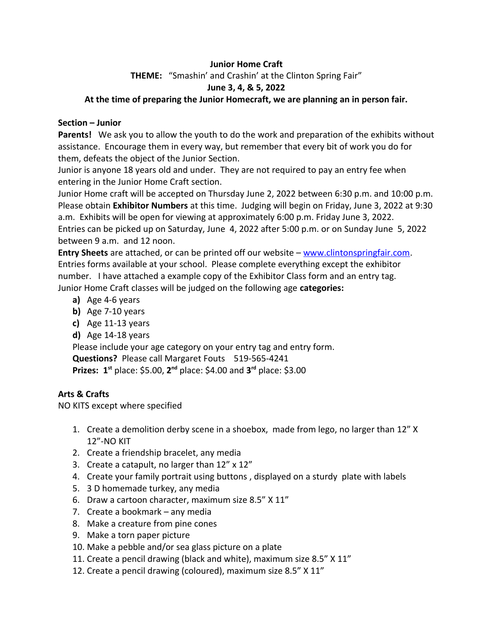# **Junior Home Craft**

**THEME:** "Smashin' and Crashin' at the Clinton Spring Fair"

## **June 3, 4, & 5, 2022**

## **At the time of preparing the Junior Homecraft, we are planning an in person fair.**

### **Section – Junior**

**Parents!** We ask you to allow the youth to do the work and preparation of the exhibits without assistance. Encourage them in every way, but remember that every bit of work you do for them, defeats the object of the Junior Section.

Junior is anyone 18 years old and under. They are not required to pay an entry fee when entering in the Junior Home Craft section.

Junior Home craft will be accepted on Thursday June 2, 2022 between 6:30 p.m. and 10:00 p.m. Please obtain **Exhibitor Numbers** at this time. Judging will begin on Friday, June 3, 2022 at 9:30 a.m. Exhibits will be open for viewing at approximately 6:00 p.m. Friday June 3, 2022. Entries can be picked up on Saturday, June 4, 2022 after 5:00 p.m. or on Sunday June 5, 2022 between 9 a.m. and 12 noon.

**Entry Sheets** are attached, or can be printed off our website – [www.clintonspringfair.com.](http://www.clintonspringfair.com/) Entries forms available at your school. Please complete everything except the exhibitor number. I have attached a example copy of the Exhibitor Class form and an entry tag. Junior Home Craft classes will be judged on the following age **categories:**

- **a)** Age 4-6 years
- **b)** Age 7-10 years
- **c)** Age 11-13 years
- **d)** Age 14-18 years

Please include your age category on your entry tag and entry form.

**Questions?** Please call Margaret Fouts 519-565-4241

**Prizes: 1**<sup>st</sup> place: \$5.00, 2<sup>nd</sup> place: \$4.00 and 3<sup>rd</sup> place: \$3.00

# **Arts & Crafts**

NO KITS except where specified

- 1. Create a demolition derby scene in a shoebox, made from lego, no larger than 12" X 12"-NO KIT
- 2. Create a friendship bracelet, any media
- 3. Create a catapult, no larger than 12" x 12"
- 4. Create your family portrait using buttons , displayed on a sturdy plate with labels
- 5. 3 D homemade turkey, any media
- 6. Draw a cartoon character, maximum size 8.5" X 11"
- 7. Create a bookmark any media
- 8. Make a creature from pine cones
- 9. Make a torn paper picture
- 10. Make a pebble and/or sea glass picture on a plate
- 11. Create a pencil drawing (black and white), maximum size 8.5" X 11"
- 12. Create a pencil drawing (coloured), maximum size 8.5" X 11"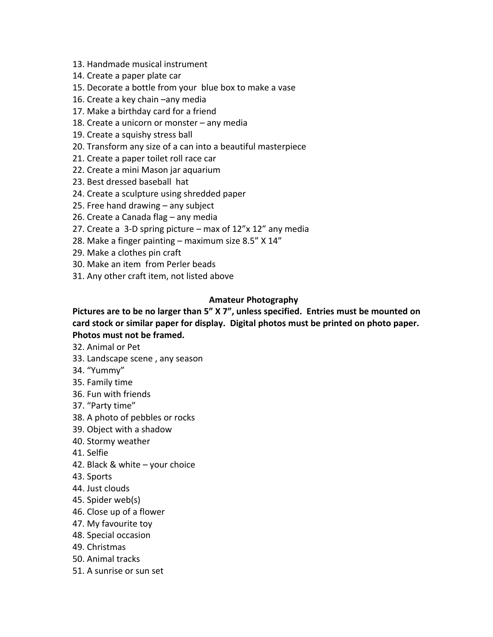- 13. Handmade musical instrument
- 14. Create a paper plate car
- 15. Decorate a bottle from your blue box to make a vase
- 16. Create a key chain –any media
- 17. Make a birthday card for a friend
- 18. Create a unicorn or monster any media
- 19. Create a squishy stress ball
- 20. Transform any size of a can into a beautiful masterpiece
- 21. Create a paper toilet roll race car
- 22. Create a mini Mason jar aquarium
- 23. Best dressed baseball hat
- 24. Create a sculpture using shredded paper
- 25. Free hand drawing any subject
- 26. Create a Canada flag any media
- 27. Create a 3-D spring picture max of 12"x 12" any media
- 28. Make a finger painting maximum size 8.5" X 14"
- 29. Make a clothes pin craft
- 30. Make an item from Perler beads
- 31. Any other craft item, not listed above

## **Amateur Photography**

# **Pictures are to be no larger than 5" X 7", unless specified. Entries must be mounted on card stock or similar paper for display. Digital photos must be printed on photo paper. Photos must not be framed.**

- 32. Animal or Pet
- 33. Landscape scene , any season
- 34. "Yummy"
- 35. Family time
- 36. Fun with friends
- 37. "Party time"
- 38. A photo of pebbles or rocks
- 39. Object with a shadow
- 40. Stormy weather
- 41. Selfie
- 42. Black & white your choice
- 43. Sports
- 44. Just clouds
- 45. Spider web(s)
- 46. Close up of a flower
- 47. My favourite toy
- 48. Special occasion
- 49. Christmas
- 50. Animal tracks
- 51. A sunrise or sun set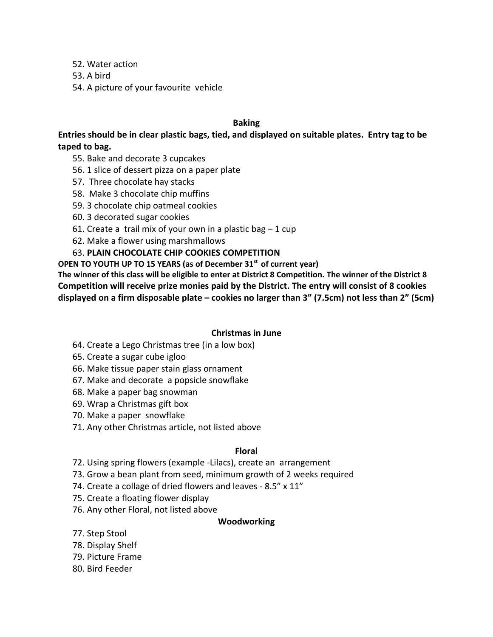52. Water action

- 53. A bird
- 54. A picture of your favourite vehicle

## **Baking**

**Entries should be in clear plastic bags, tied, and displayed on suitable plates. Entry tag to be taped to bag.**

- 55. Bake and decorate 3 cupcakes
- 56. 1 slice of dessert pizza on a paper plate
- 57. Three chocolate hay stacks
- 58. Make 3 chocolate chip muffins
- 59. 3 chocolate chip oatmeal cookies
- 60. 3 decorated sugar cookies
- 61. Create a trail mix of your own in a plastic bag  $-1$  cup
- 62. Make a flower using marshmallows

# 63. **PLAIN CHOCOLATE CHIP COOKIES COMPETITION**

**OPEN TO YOUTH UP TO 15 YEARS (as of December 31st of current year)** 

**The winner of this class will be eligible to enter at District 8 Competition. The winner of the District 8 Competition will receive prize monies paid by the District. The entry will consist of 8 cookies displayed on a firm disposable plate – cookies no larger than 3" (7.5cm) not less than 2" (5cm)**

## **Christmas in June**

- 64. Create a Lego Christmas tree (in a low box)
- 65. Create a sugar cube igloo
- 66. Make tissue paper stain glass ornament
- 67. Make and decorate a popsicle snowflake
- 68. Make a paper bag snowman
- 69. Wrap a Christmas gift box
- 70. Make a paper snowflake
- 71. Any other Christmas article, not listed above

## **Floral**

- 72. Using spring flowers (example -Lilacs), create an arrangement
- 73. Grow a bean plant from seed, minimum growth of 2 weeks required
- 74. Create a collage of dried flowers and leaves 8.5" x 11"
- 75. Create a floating flower display
- 76. Any other Floral, not listed above

## **Woodworking**

- 77. Step Stool
- 78. Display Shelf
- 79. Picture Frame
- 80. Bird Feeder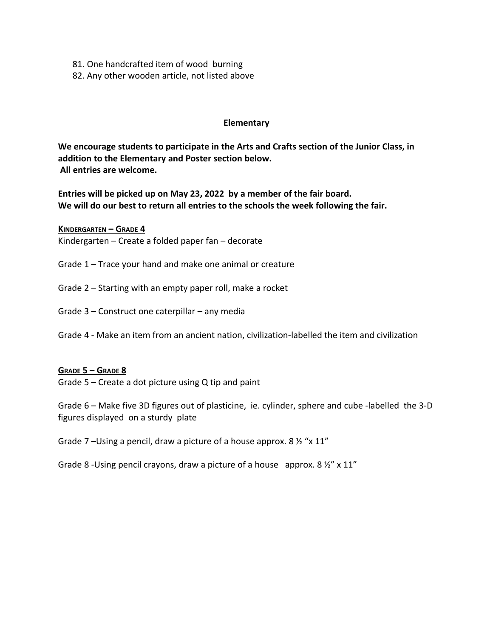- 81. One handcrafted item of wood burning
- 82. Any other wooden article, not listed above

#### **Elementary**

**We encourage students to participate in the Arts and Crafts section of the Junior Class, in addition to the Elementary and Poster section below. All entries are welcome.** 

**Entries will be picked up on May 23, 2022 by a member of the fair board. We will do our best to return all entries to the schools the week following the fair.**

 **KINDERGARTEN – GRADE 4** Kindergarten – Create a folded paper fan – decorate

Grade 1 – Trace your hand and make one animal or creature

Grade 2 – Starting with an empty paper roll, make a rocket

Grade 3 – Construct one caterpillar – any media

Grade 4 - Make an item from an ancient nation, civilization-labelled the item and civilization

#### **GRADE 5 – GRADE 8**

Grade 5 – Create a dot picture using Q tip and paint

Grade 6 – Make five 3D figures out of plasticine, ie. cylinder, sphere and cube -labelled the 3-D figures displayed on a sturdy plate

Grade 7 –Using a pencil, draw a picture of a house approx. 8 ½ "x 11"

Grade 8 -Using pencil crayons, draw a picture of a house approx. 8 ½" x 11"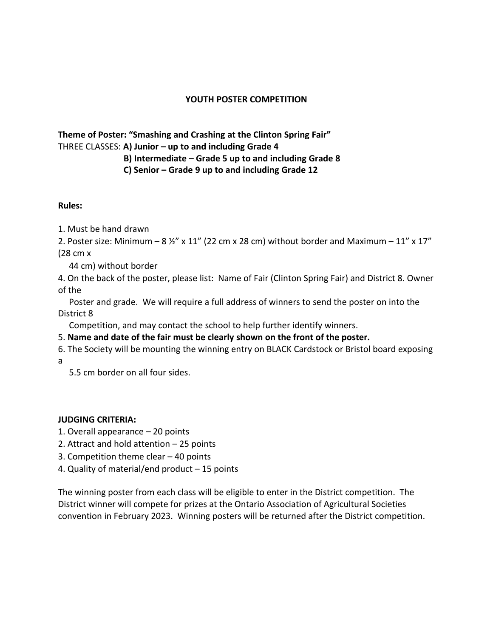## **YOUTH POSTER COMPETITION**

## **Theme of Poster: "Smashing and Crashing at the Clinton Spring Fair"** THREE CLASSES: **A) Junior – up to and including Grade 4**

## **B) Intermediate – Grade 5 up to and including Grade 8**

 **C) Senior – Grade 9 up to and including Grade 12** 

## **Rules:**

- 1. Must be hand drawn
- 2. Poster size: Minimum 8  $\frac{1}{2}$ " x 11" (22 cm x 28 cm) without border and Maximum 11" x 17" (28 cm x
	- 44 cm) without border
- 4. On the back of the poster, please list: Name of Fair (Clinton Spring Fair) and District 8. Owner of the

 Poster and grade. We will require a full address of winners to send the poster on into the District 8

Competition, and may contact the school to help further identify winners.

- 5. **Name and date of the fair must be clearly shown on the front of the poster.**
- 6. The Society will be mounting the winning entry on BLACK Cardstock or Bristol board exposing a
	- 5.5 cm border on all four sides.

## **JUDGING CRITERIA:**

- 1. Overall appearance 20 points
- 2. Attract and hold attention 25 points
- 3. Competition theme clear 40 points
- 4. Quality of material/end product 15 points

The winning poster from each class will be eligible to enter in the District competition. The District winner will compete for prizes at the Ontario Association of Agricultural Societies convention in February 2023. Winning posters will be returned after the District competition.